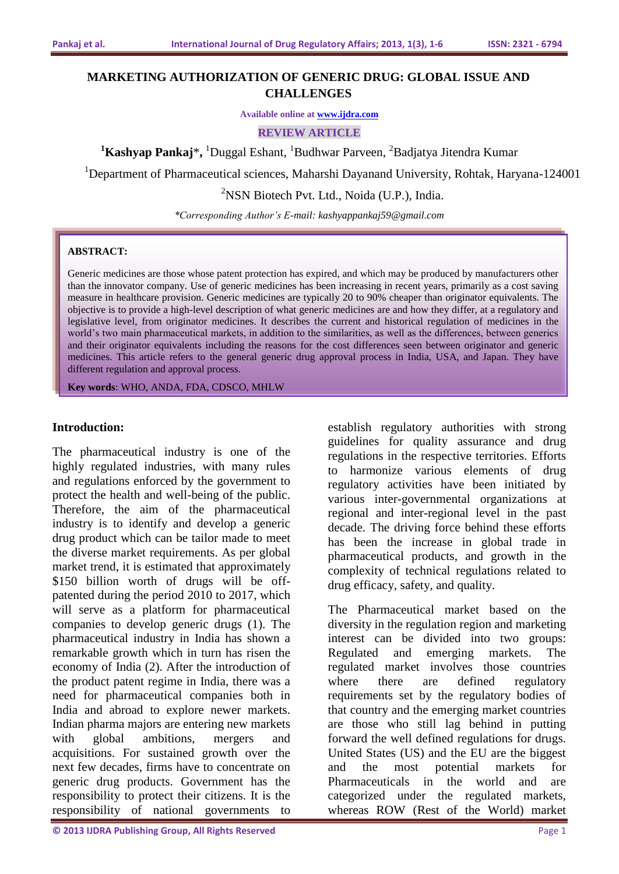# **MARKETING AUTHORIZATION OF GENERIC DRUG: GLOBAL ISSUE AND CHALLENGES**

**Available online at [www.ijdra.com](http://www.ijdra.com/)**

**REVIEW ARTICLE**

**<sup>1</sup>Kashyap Pankaj**\***,**  <sup>1</sup>Duggal Eshant, <sup>1</sup>Budhwar Parveen, <sup>2</sup>Badjatya Jitendra Kumar

<sup>1</sup>Department of Pharmaceutical sciences, Maharshi Dayanand University, Rohtak, Haryana-124001

 $2$ NSN Biotech Pvt. Ltd., Noida (U.P.), India.

*\*Corresponding Author's E-mail: kashyappankaj59@gmail.com*

#### **ABSTRACT:**

Generic medicines are those whose patent protection has expired, and which may be produced by manufacturers other than the innovator company. Use of generic medicines has been increasing in recent years, primarily as a cost saving measure in healthcare provision. Generic medicines are typically 20 to 90% cheaper than originator equivalents. The objective is to provide a high-level description of what generic medicines are and how they differ, at a regulatory and legislative level, from originator medicines. It describes the current and historical regulation of medicines in the world's two main pharmaceutical markets, in addition to the similarities, as well as the differences, between generics and their originator equivalents including the reasons for the cost differences seen between originator and generic medicines. This article refers to the general generic drug approval process in India, USA, and Japan. They have different regulation and approval process.

**Key words**: WHO, ANDA, FDA, CDSCO, MHLW

### **Introduction:**

The pharmaceutical industry is one of the highly regulated industries, with many rules and regulations enforced by the government to protect the health and well-being of the public. Therefore, the aim of the pharmaceutical industry is to identify and develop a generic drug product which can be tailor made to meet the diverse market requirements. As per global market trend, it is estimated that approximately \$150 billion worth of drugs will be offpatented during the period 2010 to 2017, which will serve as a platform for pharmaceutical companies to develop generic drugs (1). The pharmaceutical industry in India has shown a remarkable growth which in turn has risen the economy of India (2). After the introduction of the product patent regime in India, there was a need for pharmaceutical companies both in India and abroad to explore newer markets. Indian pharma majors are entering new markets with global ambitions, mergers and acquisitions. For sustained growth over the next few decades, firms have to concentrate on generic drug products. Government has the responsibility to protect their citizens. It is the responsibility of national governments to

establish regulatory authorities with strong guidelines for quality assurance and drug regulations in the respective territories. Efforts to harmonize various elements of drug regulatory activities have been initiated by various inter-governmental organizations at regional and inter-regional level in the past decade. The driving force behind these efforts has been the increase in global trade in pharmaceutical products, and growth in the complexity of technical regulations related to drug efficacy, safety, and quality.

The Pharmaceutical market based on the diversity in the regulation region and marketing interest can be divided into two groups: Regulated and emerging markets. The regulated market involves those countries where there are defined regulatory requirements set by the regulatory bodies of that country and the emerging market countries are those who still lag behind in putting forward the well defined regulations for drugs. United States (US) and the EU are the biggest and the most potential markets for Pharmaceuticals in the world and are categorized under the regulated markets, whereas ROW (Rest of the World) market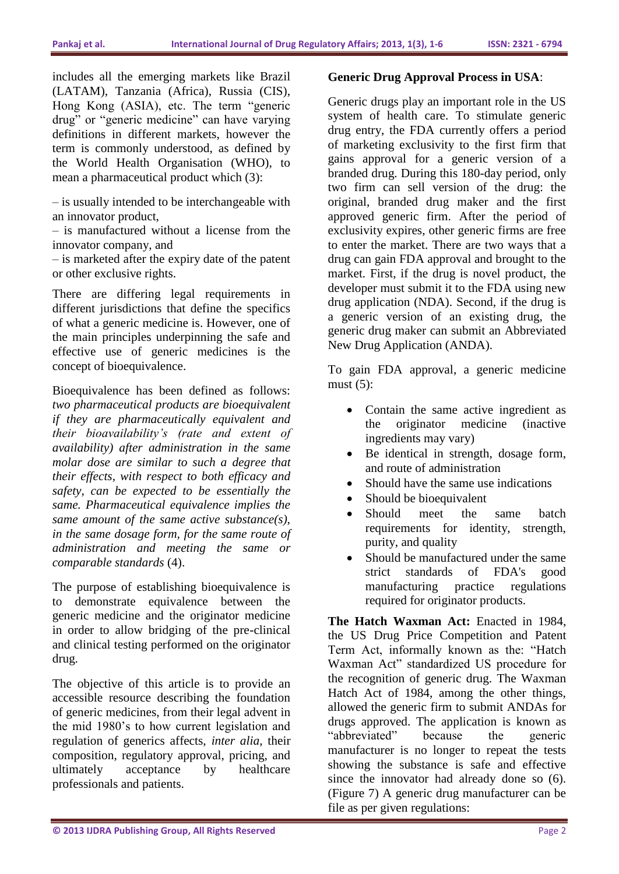includes all the emerging markets like Brazil (LATAM), Tanzania (Africa), Russia (CIS), Hong Kong (ASIA), etc. The term "generic drug" or "generic medicine" can have varying definitions in different markets, however the term is commonly understood, as defined by the World Health Organisation (WHO), to mean a pharmaceutical product which (3):

– is usually intended to be interchangeable with an innovator product,

– is manufactured without a license from the innovator company, and

– is marketed after the expiry date of the patent or other exclusive rights.

There are differing legal requirements in different jurisdictions that define the specifics of what a generic medicine is. However, one of the main principles underpinning the safe and effective use of generic medicines is the concept of bioequivalence.

Bioequivalence has been defined as follows: *two pharmaceutical products are bioequivalent if they are pharmaceutically equivalent and their bioavailability's (rate and extent of availability) after administration in the same molar dose are similar to such a degree that their effects, with respect to both efficacy and safety, can be expected to be essentially the same. Pharmaceutical equivalence implies the same amount of the same active substance(s), in the same dosage form, for the same route of administration and meeting the same or comparable standards* (4).

The purpose of establishing bioequivalence is to demonstrate equivalence between the generic medicine and the originator medicine in order to allow bridging of the pre-clinical and clinical testing performed on the originator drug.

The objective of this article is to provide an accessible resource describing the foundation of generic medicines, from their legal advent in the mid 1980's to how current legislation and regulation of generics affects, *inter alia*, their composition, regulatory approval, pricing, and ultimately acceptance by healthcare professionals and patients.

### **Generic Drug Approval Process in USA**:

Generic drugs play an important role in the US system of health care. To stimulate generic drug entry, the FDA currently offers a period of marketing exclusivity to the first firm that gains approval for a generic version of a branded drug. During this 180-day period, only two firm can sell version of the drug: the original, branded drug maker and the first approved generic firm. After the period of exclusivity expires, other generic firms are free to enter the market. There are two ways that a drug can gain FDA approval and brought to the market. First, if the drug is novel product, the developer must submit it to the FDA using new drug application (NDA). Second, if the drug is a generic version of an existing drug, the generic drug maker can submit an Abbreviated New Drug Application (ANDA).

To gain FDA approval, a generic medicine must  $(5)$ :

- Contain the same active ingredient as the originator medicine (inactive ingredients may vary)
- Be identical in strength, dosage form, and route of administration
- Should have the same use indications
- Should be bioequivalent
- Should meet the same batch requirements for identity, strength, purity, and quality
- Should be manufactured under the same strict standards of FDA's good manufacturing practice regulations required for originator products.

**The Hatch Waxman Act:** Enacted in 1984, the US Drug Price Competition and Patent Term Act, informally known as the: "Hatch Waxman Act" standardized US procedure for the recognition of generic drug. The Waxman Hatch Act of 1984, among the other things, allowed the generic firm to submit ANDAs for drugs approved. The application is known as "abbreviated" because the generic manufacturer is no longer to repeat the tests showing the substance is safe and effective since the innovator had already done so (6). (Figure 7) A generic drug manufacturer can be file as per given regulations: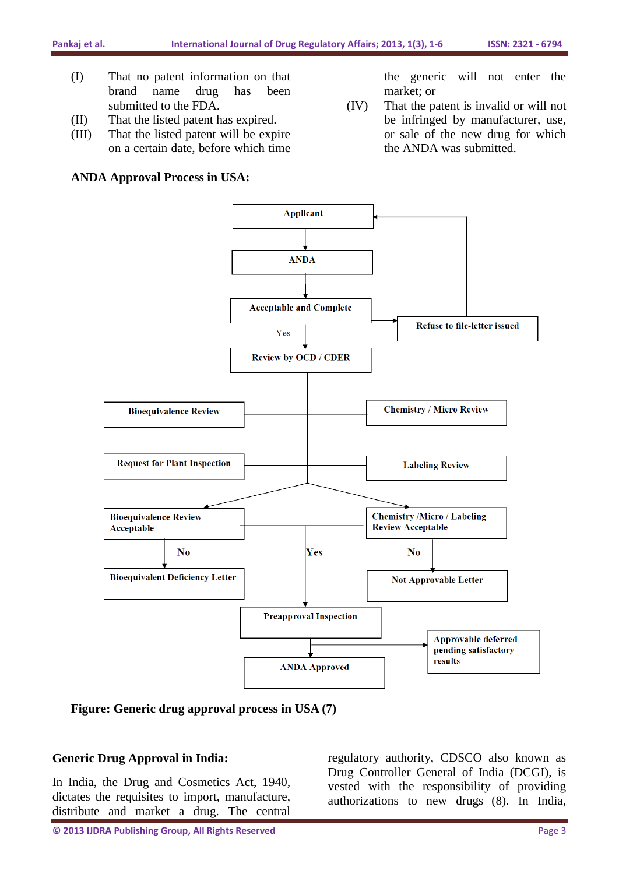- (I) That no patent information on that brand name drug has been submitted to the FDA.
- (II) That the listed patent has expired.
- (III) That the listed patent will be expire on a certain date, before which time

### **ANDA Approval Process in USA:**

the generic will not enter the market; or

(IV) That the patent is invalid or will not be infringed by manufacturer, use, or sale of the new drug for which the ANDA was submitted.



**Figure: Generic drug approval process in USA (7)**

### **Generic Drug Approval in India:**

In India, the Drug and Cosmetics Act, 1940, dictates the requisites to import, manufacture, distribute and market a drug. The central

regulatory authority, CDSCO also known as Drug Controller General of India (DCGI), is vested with the responsibility of providing authorizations to new drugs (8). In India,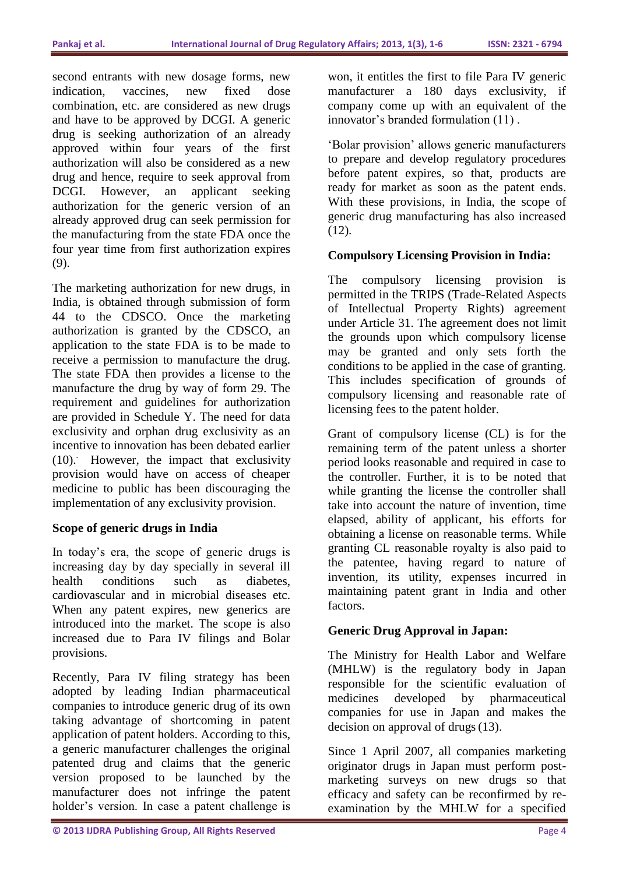second entrants with new dosage forms, new indication, vaccines, new fixed dose combination, etc. are considered as new drugs and have to be approved by DCGI. A generic drug is seeking authorization of an already approved within four years of the first authorization will also be considered as a new drug and hence, require to seek approval from DCGI. However, an applicant seeking authorization for the generic version of an already approved drug can seek permission for the manufacturing from the state FDA once the four year time from first authorization expires (9).

The marketing authorization for new drugs, in India, is obtained through submission of form 44 to the CDSCO. Once the marketing authorization is granted by the CDSCO, an application to the state FDA is to be made to receive a permission to manufacture the drug. The state FDA then provides a license to the manufacture the drug by way of form 29. The requirement and guidelines for authorization are provided in Schedule Y. The need for data exclusivity and orphan drug exclusivity as an incentive to innovation has been debated earlier (10).. However, the impact that exclusivity provision would have on access of cheaper medicine to public has been discouraging the implementation of any exclusivity provision.

## **Scope of generic drugs in India**

In today's era, the scope of generic drugs is increasing day by day specially in several ill health conditions such as diabetes, cardiovascular and in microbial diseases etc. When any patent expires, new generics are introduced into the market. The scope is also increased due to Para IV filings and Bolar provisions.

Recently, Para IV filing strategy has been adopted by leading Indian pharmaceutical companies to introduce generic drug of its own taking advantage of shortcoming in patent application of patent holders. According to this, a generic manufacturer challenges the original patented drug and claims that the generic version proposed to be launched by the manufacturer does not infringe the patent holder's version. In case a patent challenge is

won, it entitles the first to file Para IV generic manufacturer a 180 days exclusivity, if company come up with an equivalent of the innovator's branded formulation (11) .

'Bolar provision' allows generic manufacturers to prepare and develop regulatory procedures before patent expires, so that, products are ready for market as soon as the patent ends. With these provisions, in India, the scope of generic drug manufacturing has also increased (12).

## **Compulsory Licensing Provision in India:**

The compulsory licensing provision is permitted in the TRIPS (Trade-Related Aspects of Intellectual Property Rights) agreement under Article 31. The agreement does not limit the grounds upon which compulsory license may be granted and only sets forth the conditions to be applied in the case of granting. This includes specification of grounds of compulsory licensing and reasonable rate of licensing fees to the patent holder.

Grant of compulsory license (CL) is for the remaining term of the patent unless a shorter period looks reasonable and required in case to the controller. Further, it is to be noted that while granting the license the controller shall take into account the nature of invention, time elapsed, ability of applicant, his efforts for obtaining a license on reasonable terms. While granting CL reasonable royalty is also paid to the patentee, having regard to nature of invention, its utility, expenses incurred in maintaining patent grant in India and other factors.

## **Generic Drug Approval in Japan:**

The Ministry for Health Labor and Welfare (MHLW) is the regulatory body in Japan responsible for the scientific evaluation of medicines developed by pharmaceutical companies for use in Japan and makes the decision on approval of drugs(13).

Since 1 April 2007, all companies marketing originator drugs in Japan must perform postmarketing surveys on new drugs so that efficacy and safety can be reconfirmed by reexamination by the MHLW for a specified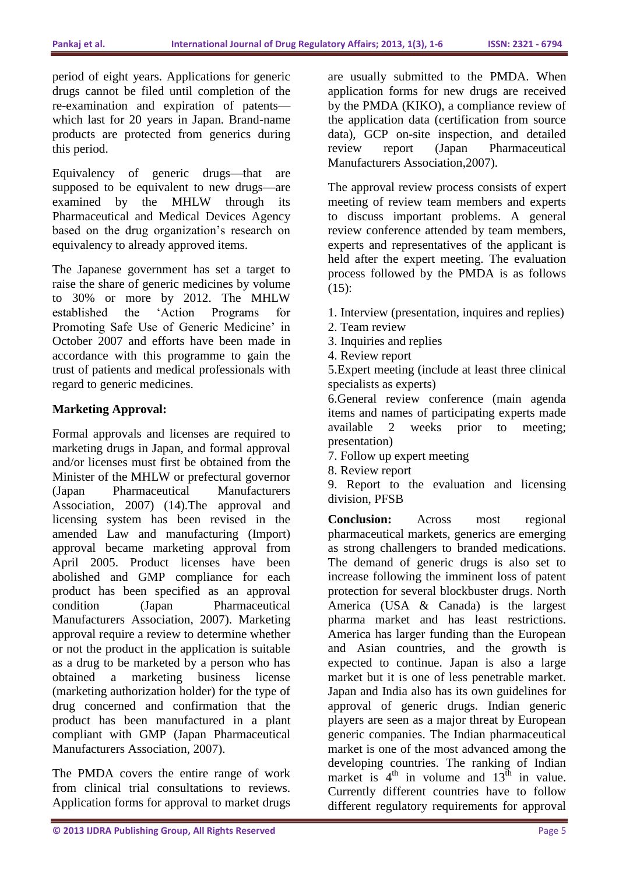period of eight years. Applications for generic drugs cannot be filed until completion of the re-examination and expiration of patents which last for 20 years in Japan. Brand-name products are protected from generics during this period.

Equivalency of generic drugs—that are supposed to be equivalent to new drugs—are examined by the MHLW through its Pharmaceutical and Medical Devices Agency based on the drug organization's research on equivalency to already approved items.

The Japanese government has set a target to raise the share of generic medicines by volume to 30% or more by 2012. The MHLW established the 'Action Programs for Promoting Safe Use of Generic Medicine' in October 2007 and efforts have been made in accordance with this programme to gain the trust of patients and medical professionals with regard to generic medicines.

## **Marketing Approval:**

Formal approvals and licenses are required to marketing drugs in Japan, and formal approval and/or licenses must first be obtained from the Minister of the MHLW or prefectural governor (Japan Pharmaceutical Manufacturers Association, 2007) (14).The approval and licensing system has been revised in the amended Law and manufacturing (Import) approval became marketing approval from April 2005. Product licenses have been abolished and GMP compliance for each product has been specified as an approval condition (Japan Pharmaceutical Manufacturers Association, 2007). Marketing approval require a review to determine whether or not the product in the application is suitable as a drug to be marketed by a person who has obtained a marketing business license (marketing authorization holder) for the type of drug concerned and confirmation that the product has been manufactured in a plant compliant with GMP (Japan Pharmaceutical Manufacturers Association, 2007).

The PMDA covers the entire range of work from clinical trial consultations to reviews. Application forms for approval to market drugs are usually submitted to the PMDA. When application forms for new drugs are received by the PMDA (KIKO), a compliance review of the application data (certification from source data), GCP on-site inspection, and detailed review report (Japan Pharmaceutical Manufacturers Association,2007).

The approval review process consists of expert meeting of review team members and experts to discuss important problems. A general review conference attended by team members, experts and representatives of the applicant is held after the expert meeting. The evaluation process followed by the PMDA is as follows (15):

- 1. Interview (presentation, inquires and replies)
- 2. Team review
- 3. Inquiries and replies
- 4. Review report

5.Expert meeting (include at least three clinical specialists as experts)

6.General review conference (main agenda items and names of participating experts made available 2 weeks prior to meeting; presentation)

7. Follow up expert meeting

8. Review report

9. Report to the evaluation and licensing division, PFSB

**Conclusion:** Across most regional pharmaceutical markets, generics are emerging as strong challengers to branded medications. The demand of generic drugs is also set to increase following the imminent loss of patent protection for several blockbuster drugs. North America (USA & Canada) is the largest pharma market and has least restrictions. America has larger funding than the European and Asian countries, and the growth is expected to continue. Japan is also a large market but it is one of less penetrable market. Japan and India also has its own guidelines for approval of generic drugs. Indian generic players are seen as a major threat by European generic companies. The Indian pharmaceutical market is one of the most advanced among the developing countries. The ranking of Indian market is  $4<sup>th</sup>$  in volume and  $13<sup>th</sup>$  in value. Currently different countries have to follow different regulatory requirements for approval